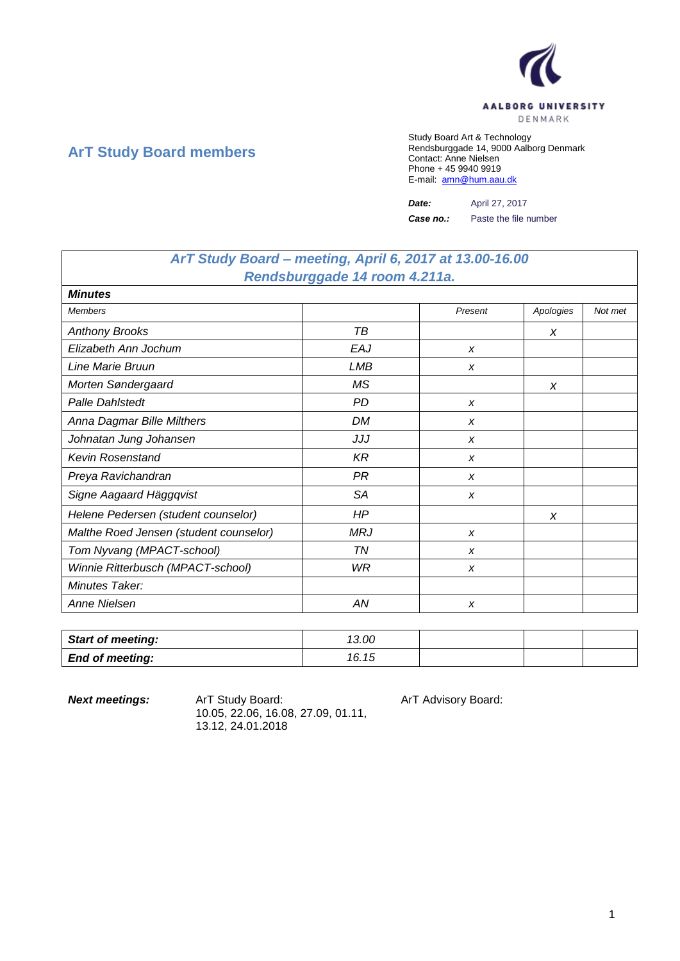

# **ArT Study Board members**

Study Board Art & Technology Rendsburggade 14, 9000 Aalborg Denmark Contact: Anne Nielsen Phone + 45 9940 9919 E-mail: [amn@hum.aau.dk](mailto:amn@hum.aau.dk)

| Date:     | April 27, 2017        |
|-----------|-----------------------|
| Case no.: | Paste the file number |

# *ArT Study Board – meeting, April 6, 2017 at 13.00-16.00 Rendsburggade 14 room 4.211a.*

| <b>Minutes</b>                         |            |         |           |         |
|----------------------------------------|------------|---------|-----------|---------|
| <b>Members</b>                         |            | Present | Apologies | Not met |
| <b>Anthony Brooks</b>                  | TВ         |         | X         |         |
| Elizabeth Ann Jochum                   | EAJ        | X       |           |         |
| Line Marie Bruun                       | LMB        | X       |           |         |
| Morten Søndergaard                     | ΜS         |         | X         |         |
| <b>Palle Dahlstedt</b>                 | <b>PD</b>  | X       |           |         |
| Anna Dagmar Bille Milthers             | DM         | X       |           |         |
| Johnatan Jung Johansen                 | JJJ        | X       |           |         |
| <b>Kevin Rosenstand</b>                | KR         | X       |           |         |
| Preya Ravichandran                     | PR         | X       |           |         |
| Signe Aagaard Häggqvist                | <b>SA</b>  | X       |           |         |
| Helene Pedersen (student counselor)    | HP         |         | X         |         |
| Malthe Roed Jensen (student counselor) | <b>MRJ</b> | X       |           |         |
| Tom Nyvang (MPACT-school)              | TN         | X       |           |         |
| Winnie Ritterbusch (MPACT-school)      | WR         | X       |           |         |
| Minutes Taker:                         |            |         |           |         |
| Anne Nielsen                           | AN         | X       |           |         |

| <b>Start of meeting:</b> | 13.00 |  |  |
|--------------------------|-------|--|--|
| <b>End of meeting:</b>   | 16.15 |  |  |

**Next meetings:** ArT Study Board: ArT Advisory Board: 10.05, 22.06, 16.08, 27.09, 01.11, 13.12, 24.01.2018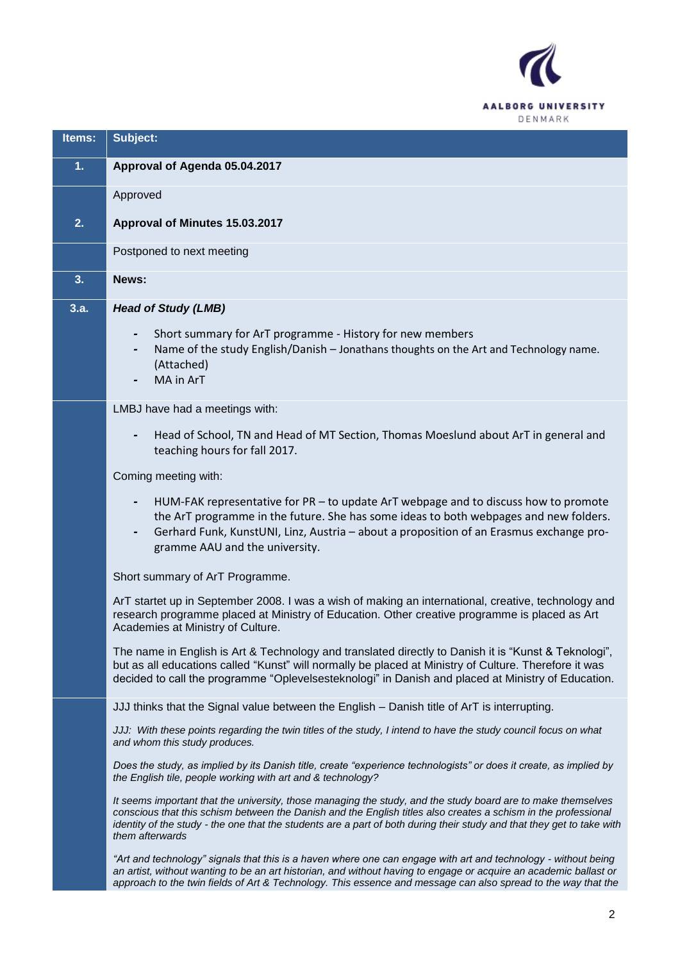

| 1.<br>Approval of Agenda 05.04.2017<br>Approved                                                                                                                                                                                                                                                                                                                             |  |
|-----------------------------------------------------------------------------------------------------------------------------------------------------------------------------------------------------------------------------------------------------------------------------------------------------------------------------------------------------------------------------|--|
|                                                                                                                                                                                                                                                                                                                                                                             |  |
|                                                                                                                                                                                                                                                                                                                                                                             |  |
| 2.<br>Approval of Minutes 15.03.2017                                                                                                                                                                                                                                                                                                                                        |  |
| Postponed to next meeting                                                                                                                                                                                                                                                                                                                                                   |  |
| 3.<br>News:                                                                                                                                                                                                                                                                                                                                                                 |  |
| 3.a.<br><b>Head of Study (LMB)</b>                                                                                                                                                                                                                                                                                                                                          |  |
| Short summary for ArT programme - History for new members<br>$\blacksquare$<br>Name of the study English/Danish - Jonathans thoughts on the Art and Technology name.<br>(Attached)<br>MA in ArT                                                                                                                                                                             |  |
| LMBJ have had a meetings with:                                                                                                                                                                                                                                                                                                                                              |  |
| Head of School, TN and Head of MT Section, Thomas Moeslund about ArT in general and<br>teaching hours for fall 2017.                                                                                                                                                                                                                                                        |  |
| Coming meeting with:                                                                                                                                                                                                                                                                                                                                                        |  |
| HUM-FAK representative for $PR -$ to update ArT webpage and to discuss how to promote<br>$\blacksquare$<br>the ArT programme in the future. She has some ideas to both webpages and new folders.<br>Gerhard Funk, KunstUNI, Linz, Austria - about a proposition of an Erasmus exchange pro-<br>gramme AAU and the university.                                               |  |
| Short summary of ArT Programme.                                                                                                                                                                                                                                                                                                                                             |  |
| ArT startet up in September 2008. I was a wish of making an international, creative, technology and<br>research programme placed at Ministry of Education. Other creative programme is placed as Art<br>Academies at Ministry of Culture.                                                                                                                                   |  |
| The name in English is Art & Technology and translated directly to Danish it is "Kunst & Teknologi",<br>but as all educations called "Kunst" will normally be placed at Ministry of Culture. Therefore it was<br>decided to call the programme "Oplevelsesteknologi" in Danish and placed at Ministry of Education.                                                         |  |
| JJJ thinks that the Signal value between the English - Danish title of ArT is interrupting.                                                                                                                                                                                                                                                                                 |  |
| JJJ: With these points regarding the twin titles of the study, I intend to have the study council focus on what<br>and whom this study produces.                                                                                                                                                                                                                            |  |
| Does the study, as implied by its Danish title, create "experience technologists" or does it create, as implied by<br>the English tile, people working with art and & technology?                                                                                                                                                                                           |  |
| It seems important that the university, those managing the study, and the study board are to make themselves<br>conscious that this schism between the Danish and the English titles also creates a schism in the professional<br>identity of the study - the one that the students are a part of both during their study and that they get to take with<br>them afterwards |  |
| "Art and technology" signals that this is a haven where one can engage with art and technology - without being<br>an artist, without wanting to be an art historian, and without having to engage or acquire an academic ballast or<br>approach to the twin fields of Art & Technology. This essence and message can also spread to the way that the                        |  |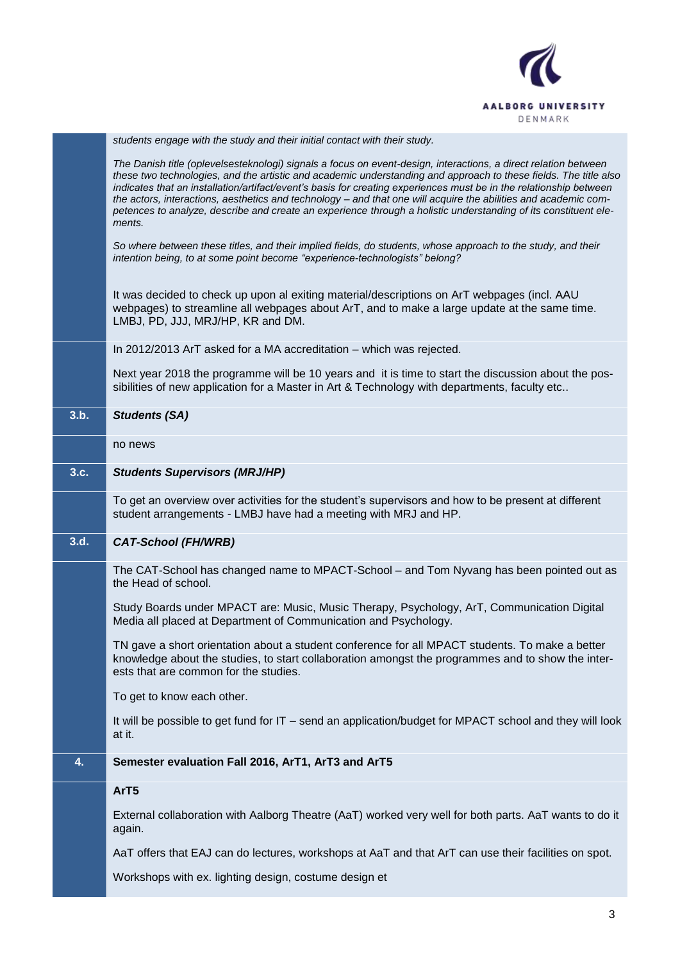

|      | students engage with the study and their initial contact with their study.                                                                                                                                                                                                                                                                                                                                                                                                                                                                                                                                |
|------|-----------------------------------------------------------------------------------------------------------------------------------------------------------------------------------------------------------------------------------------------------------------------------------------------------------------------------------------------------------------------------------------------------------------------------------------------------------------------------------------------------------------------------------------------------------------------------------------------------------|
|      | The Danish title (oplevelsesteknologi) signals a focus on event-design, interactions, a direct relation between<br>these two technologies, and the artistic and academic understanding and approach to these fields. The title also<br>indicates that an installation/artifact/event's basis for creating experiences must be in the relationship between<br>the actors, interactions, aesthetics and technology - and that one will acquire the abilities and academic com-<br>petences to analyze, describe and create an experience through a holistic understanding of its constituent ele-<br>ments. |
|      | So where between these titles, and their implied fields, do students, whose approach to the study, and their<br>intention being, to at some point become "experience-technologists" belong?                                                                                                                                                                                                                                                                                                                                                                                                               |
|      | It was decided to check up upon al exiting material/descriptions on ArT webpages (incl. AAU<br>webpages) to streamline all webpages about ArT, and to make a large update at the same time.<br>LMBJ, PD, JJJ, MRJ/HP, KR and DM.                                                                                                                                                                                                                                                                                                                                                                          |
|      | In 2012/2013 ArT asked for a MA accreditation - which was rejected.                                                                                                                                                                                                                                                                                                                                                                                                                                                                                                                                       |
|      | Next year 2018 the programme will be 10 years and it is time to start the discussion about the pos-<br>sibilities of new application for a Master in Art & Technology with departments, faculty etc                                                                                                                                                                                                                                                                                                                                                                                                       |
| 3.b. | <b>Students (SA)</b>                                                                                                                                                                                                                                                                                                                                                                                                                                                                                                                                                                                      |
|      | no news                                                                                                                                                                                                                                                                                                                                                                                                                                                                                                                                                                                                   |
| 3.c. | <b>Students Supervisors (MRJ/HP)</b>                                                                                                                                                                                                                                                                                                                                                                                                                                                                                                                                                                      |
|      | To get an overview over activities for the student's supervisors and how to be present at different<br>student arrangements - LMBJ have had a meeting with MRJ and HP.                                                                                                                                                                                                                                                                                                                                                                                                                                    |
| 3.d. | <b>CAT-School (FH/WRB)</b>                                                                                                                                                                                                                                                                                                                                                                                                                                                                                                                                                                                |
|      | The CAT-School has changed name to MPACT-School - and Tom Nyvang has been pointed out as<br>the Head of school.                                                                                                                                                                                                                                                                                                                                                                                                                                                                                           |
|      | Study Boards under MPACT are: Music, Music Therapy, Psychology, ArT, Communication Digital<br>Media all placed at Department of Communication and Psychology.                                                                                                                                                                                                                                                                                                                                                                                                                                             |
|      | TN gave a short orientation about a student conference for all MPACT students. To make a better<br>knowledge about the studies, to start collaboration amongst the programmes and to show the inter-<br>ests that are common for the studies.                                                                                                                                                                                                                                                                                                                                                             |
|      | To get to know each other.                                                                                                                                                                                                                                                                                                                                                                                                                                                                                                                                                                                |
|      | It will be possible to get fund for IT – send an application/budget for MPACT school and they will look<br>at it.                                                                                                                                                                                                                                                                                                                                                                                                                                                                                         |
| 4.   | Semester evaluation Fall 2016, ArT1, ArT3 and ArT5                                                                                                                                                                                                                                                                                                                                                                                                                                                                                                                                                        |
|      | ArT5                                                                                                                                                                                                                                                                                                                                                                                                                                                                                                                                                                                                      |
|      | External collaboration with Aalborg Theatre (AaT) worked very well for both parts. AaT wants to do it<br>again.                                                                                                                                                                                                                                                                                                                                                                                                                                                                                           |
|      | AaT offers that EAJ can do lectures, workshops at AaT and that ArT can use their facilities on spot.                                                                                                                                                                                                                                                                                                                                                                                                                                                                                                      |
|      | Workshops with ex. lighting design, costume design et                                                                                                                                                                                                                                                                                                                                                                                                                                                                                                                                                     |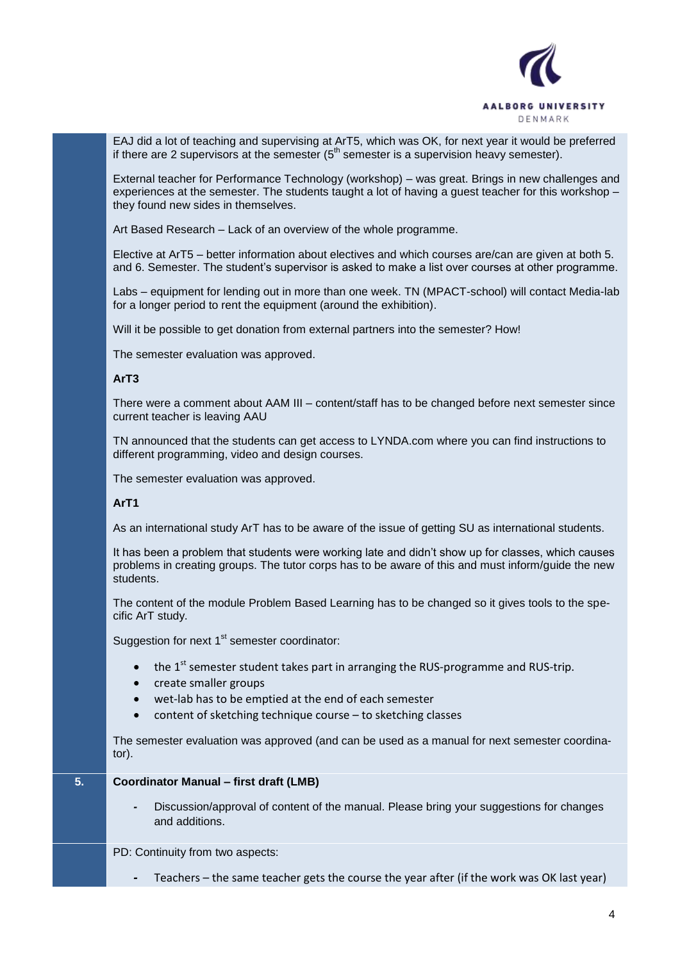

EAJ did a lot of teaching and supervising at ArT5, which was OK, for next year it would be preferred if there are 2 supervisors at the semester  $(5<sup>th</sup>$  semester is a supervision heavy semester).

External teacher for Performance Technology (workshop) – was great. Brings in new challenges and experiences at the semester. The students taught a lot of having a guest teacher for this workshop – they found new sides in themselves.

Art Based Research – Lack of an overview of the whole programme.

Elective at ArT5 – better information about electives and which courses are/can are given at both 5. and 6. Semester. The student's supervisor is asked to make a list over courses at other programme.

Labs – equipment for lending out in more than one week. TN (MPACT-school) will contact Media-lab for a longer period to rent the equipment (around the exhibition).

Will it be possible to get donation from external partners into the semester? How!

The semester evaluation was approved.

## **ArT3**

There were a comment about AAM III – content/staff has to be changed before next semester since current teacher is leaving AAU

TN announced that the students can get access to LYNDA.com where you can find instructions to different programming, video and design courses.

The semester evaluation was approved.

### **ArT1**

As an international study ArT has to be aware of the issue of getting SU as international students.

It has been a problem that students were working late and didn't show up for classes, which causes problems in creating groups. The tutor corps has to be aware of this and must inform/guide the new students.

The content of the module Problem Based Learning has to be changed so it gives tools to the specific ArT study.

Suggestion for next  $1<sup>st</sup>$  semester coordinator:

- the  $1<sup>st</sup>$  semester student takes part in arranging the RUS-programme and RUS-trip.
- create smaller groups
- wet-lab has to be emptied at the end of each semester
- content of sketching technique course to sketching classes

The semester evaluation was approved (and can be used as a manual for next semester coordinator).

### **5. Coordinator Manual – first draft (LMB)**

*-* Discussion/approval of content of the manual. Please bring your suggestions for changes and additions.

PD: Continuity from two aspects:

Teachers – the same teacher gets the course the year after (if the work was OK last year)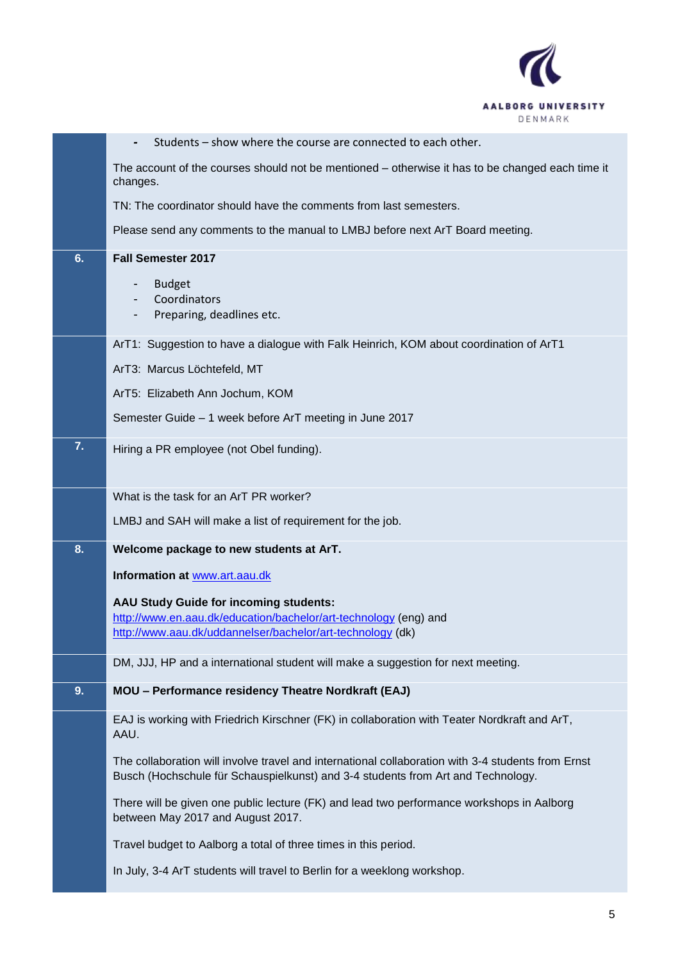

|    | Students - show where the course are connected to each other.                                                                                                                          |
|----|----------------------------------------------------------------------------------------------------------------------------------------------------------------------------------------|
|    | The account of the courses should not be mentioned – otherwise it has to be changed each time it<br>changes.                                                                           |
|    | TN: The coordinator should have the comments from last semesters.                                                                                                                      |
|    | Please send any comments to the manual to LMBJ before next ArT Board meeting.                                                                                                          |
| 6. | <b>Fall Semester 2017</b>                                                                                                                                                              |
|    | <b>Budget</b><br>-<br>Coordinators<br>Preparing, deadlines etc.                                                                                                                        |
|    | ArT1: Suggestion to have a dialogue with Falk Heinrich, KOM about coordination of ArT1                                                                                                 |
|    | ArT3: Marcus Löchtefeld, MT                                                                                                                                                            |
|    | ArT5: Elizabeth Ann Jochum, KOM                                                                                                                                                        |
|    | Semester Guide - 1 week before ArT meeting in June 2017                                                                                                                                |
| 7. | Hiring a PR employee (not Obel funding).                                                                                                                                               |
|    | What is the task for an ArT PR worker?                                                                                                                                                 |
|    | LMBJ and SAH will make a list of requirement for the job.                                                                                                                              |
| 8. | Welcome package to new students at ArT.                                                                                                                                                |
|    | Information at www.art.aau.dk                                                                                                                                                          |
|    | <b>AAU Study Guide for incoming students:</b>                                                                                                                                          |
|    | http://www.en.aau.dk/education/bachelor/art-technology (eng) and<br>http://www.aau.dk/uddannelser/bachelor/art-technology (dk)                                                         |
|    | DM, JJJ, HP and a international student will make a suggestion for next meeting.                                                                                                       |
| 9. | MOU - Performance residency Theatre Nordkraft (EAJ)                                                                                                                                    |
|    | EAJ is working with Friedrich Kirschner (FK) in collaboration with Teater Nordkraft and ArT,                                                                                           |
|    | AAU.                                                                                                                                                                                   |
|    | The collaboration will involve travel and international collaboration with 3-4 students from Ernst<br>Busch (Hochschule für Schauspielkunst) and 3-4 students from Art and Technology. |
|    | There will be given one public lecture (FK) and lead two performance workshops in Aalborg<br>between May 2017 and August 2017.                                                         |
|    | Travel budget to Aalborg a total of three times in this period.                                                                                                                        |
|    |                                                                                                                                                                                        |